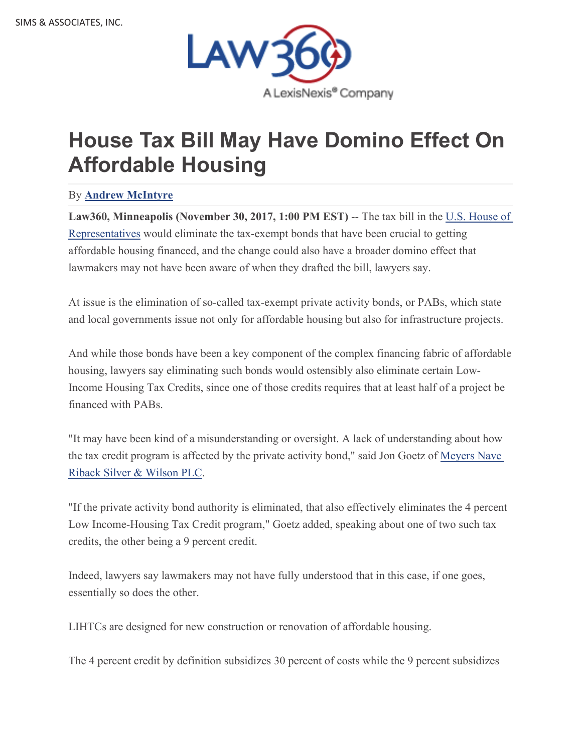

## **House Tax Bill May Have Domino Effect On Affordable Housing**

## By **Andrew McIntyre**

**Law360, Minneapolis (November 30, 2017, 1:00 PM EST)** -- The tax bill in the U.S. House of Representatives would eliminate the tax-exempt bonds that have been crucial to getting affordable housing financed, and the change could also have a broader domino effect that lawmakers may not have been aware of when they drafted the bill, lawyers say.

At issue is the elimination of so-called tax-exempt private activity bonds, or PABs, which state and local governments issue not only for affordable housing but also for infrastructure projects.

And while those bonds have been a key component of the complex financing fabric of affordable housing, lawyers say eliminating such bonds would ostensibly also eliminate certain Low-Income Housing Tax Credits, since one of those credits requires that at least half of a project be financed with PABs.

"It may have been kind of a misunderstanding or oversight. A lack of understanding about how the tax credit program is affected by the private activity bond," said Jon Goetz of Meyers Nave Riback Silver & Wilson PLC.

"If the private activity bond authority is eliminated, that also effectively eliminates the 4 percent Low Income-Housing Tax Credit program," Goetz added, speaking about one of two such tax credits, the other being a 9 percent credit.

Indeed, lawyers say lawmakers may not have fully understood that in this case, if one goes, essentially so does the other.

LIHTCs are designed for new construction or renovation of affordable housing.

The 4 percent credit by definition subsidizes 30 percent of costs while the 9 percent subsidizes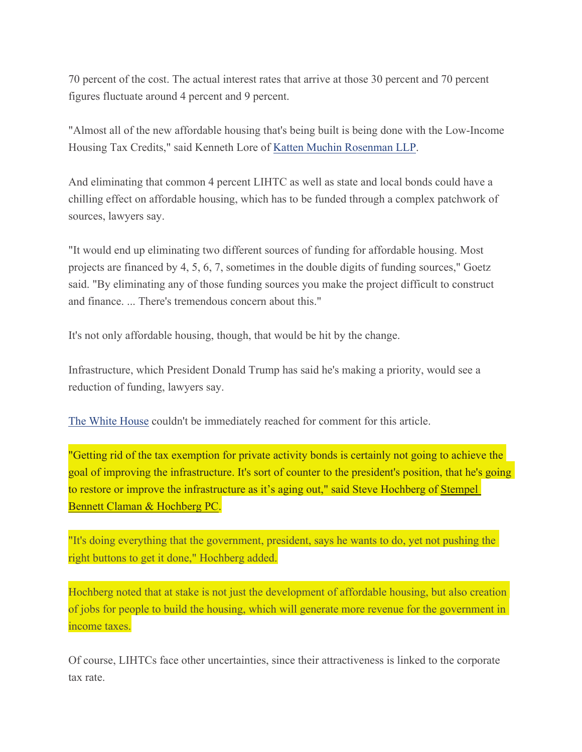70 percent of the cost. The actual interest rates that arrive at those 30 percent and 70 percent figures fluctuate around 4 percent and 9 percent.

"Almost all of the new affordable housing that's being built is being done with the Low-Income Housing Tax Credits," said Kenneth Lore of Katten Muchin Rosenman LLP.

And eliminating that common 4 percent LIHTC as well as state and local bonds could have a chilling effect on affordable housing, which has to be funded through a complex patchwork of sources, lawyers say.

"It would end up eliminating two different sources of funding for affordable housing. Most projects are financed by 4, 5, 6, 7, sometimes in the double digits of funding sources," Goetz said. "By eliminating any of those funding sources you make the project difficult to construct and finance. ... There's tremendous concern about this."

It's not only affordable housing, though, that would be hit by the change.

Infrastructure, which President Donald Trump has said he's making a priority, would see a reduction of funding, lawyers say.

The White House couldn't be immediately reached for comment for this article.

"Getting rid of the tax exemption for private activity bonds is certainly not going to achieve the goal of improving the infrastructure. It's sort of counter to the president's position, that he's going to restore or improve the infrastructure as it's aging out," said Steve Hochberg of Stempel Bennett Claman & Hochberg PC.

"It's doing everything that the government, president, says he wants to do, yet not pushing the right buttons to get it done," Hochberg added.

Hochberg noted that at stake is not just the development of affordable housing, but also creation of jobs for people to build the housing, which will generate more revenue for the government in income taxes.

Of course, LIHTCs face other uncertainties, since their attractiveness is linked to the corporate tax rate.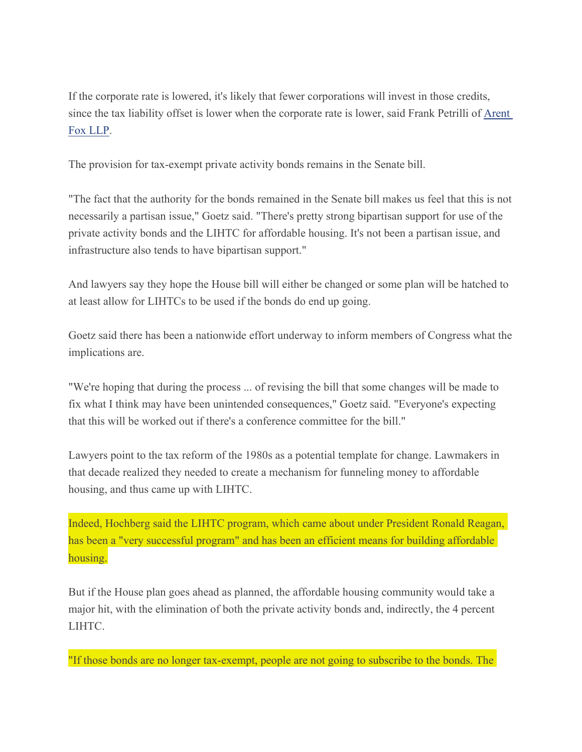If the corporate rate is lowered, it's likely that fewer corporations will invest in those credits, since the tax liability offset is lower when the corporate rate is lower, said Frank Petrilli of Arent Fox LLP.

The provision for tax-exempt private activity bonds remains in the Senate bill.

"The fact that the authority for the bonds remained in the Senate bill makes us feel that this is not necessarily a partisan issue," Goetz said. "There's pretty strong bipartisan support for use of the private activity bonds and the LIHTC for affordable housing. It's not been a partisan issue, and infrastructure also tends to have bipartisan support."

And lawyers say they hope the House bill will either be changed or some plan will be hatched to at least allow for LIHTCs to be used if the bonds do end up going.

Goetz said there has been a nationwide effort underway to inform members of Congress what the implications are.

"We're hoping that during the process ... of revising the bill that some changes will be made to fix what I think may have been unintended consequences," Goetz said. "Everyone's expecting that this will be worked out if there's a conference committee for the bill."

Lawyers point to the tax reform of the 1980s as a potential template for change. Lawmakers in that decade realized they needed to create a mechanism for funneling money to affordable housing, and thus came up with LIHTC.

Indeed, Hochberg said the LIHTC program, which came about under President Ronald Reagan, has been a "very successful program" and has been an efficient means for building affordable housing.

But if the House plan goes ahead as planned, the affordable housing community would take a major hit, with the elimination of both the private activity bonds and, indirectly, the 4 percent LIHTC.

"If those bonds are no longer tax-exempt, people are not going to subscribe to the bonds. The